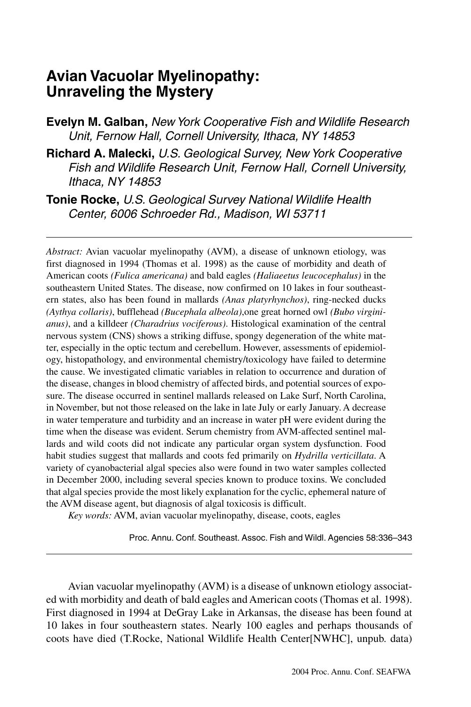# **Avian Vacuolar Myelinopathy: Unraveling the Mystery**

**Evelyn M. Galban,** *New York Cooperative Fish and Wildlife Research Unit, Fernow Hall, Cornell University, Ithaca, NY 14853*

**Richard A. Malecki,** *U.S. Geological Survey, New York Cooperative Fish and Wildlife Research Unit, Fernow Hall, Cornell University, Ithaca, NY 14853*

**Tonie Rocke,** *U.S. Geological Survey National Wildlife Health Center, 6006 Schroeder Rd., Madison, WI 53711*

*Abstract:* Avian vacuolar myelinopathy (AVM), a disease of unknown etiology, was first diagnosed in 1994 (Thomas et al. 1998) as the cause of morbidity and death of American coots *(Fulica americana)* and bald eagles *(Haliaeetus leucocephalus)* in the southeastern United States. The disease, now confirmed on 10 lakes in four southeastern states, also has been found in mallards *(Anas platyrhynchos)*, ring-necked ducks *(Aythya collaris)*, bufflehead *(Bucephala albeola)*,one great horned owl *(Bubo virginianus)*, and a killdeer *(Charadrius vociferous)*. Histological examination of the central nervous system (CNS) shows a striking diffuse, spongy degeneration of the white matter, especially in the optic tectum and cerebellum. However, assessments of epidemiology, histopathology, and environmental chemistry/toxicology have failed to determine the cause. We investigated climatic variables in relation to occurrence and duration of the disease, changes in blood chemistry of affected birds, and potential sources of exposure. The disease occurred in sentinel mallards released on Lake Surf, North Carolina, in November, but not those released on the lake in late July or early January. A decrease in water temperature and turbidity and an increase in water pH were evident during the time when the disease was evident. Serum chemistry from AVM-affected sentinel mallards and wild coots did not indicate any particular organ system dysfunction. Food habit studies suggest that mallards and coots fed primarily on *Hydrilla verticillata*. A variety of cyanobacterial algal species also were found in two water samples collected in December 2000, including several species known to produce toxins. We concluded that algal species provide the most likely explanation for the cyclic, ephemeral nature of the AVM disease agent, but diagnosis of algal toxicosis is difficult.

*Key words:* AVM, avian vacuolar myelinopathy, disease, coots, eagles

Proc. Annu. Conf. Southeast. Assoc. Fish and Wildl. Agencies 58:336–343

Avian vacuolar myelinopathy (AVM) is a disease of unknown etiology associated with morbidity and death of bald eagles and American coots (Thomas et al. 1998). First diagnosed in 1994 at DeGray Lake in Arkansas, the disease has been found at 10 lakes in four southeastern states. Nearly 100 eagles and perhaps thousands of coots have died (T.Rocke, National Wildlife Health Center[NWHC], unpub. data)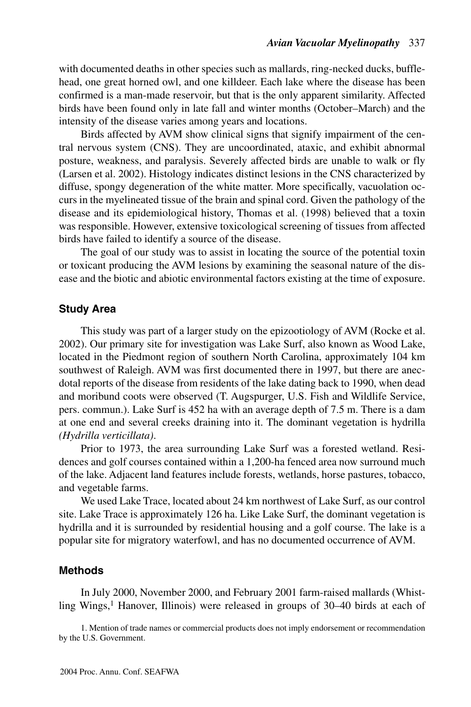with documented deaths in other species such as mallards, ring-necked ducks, bufflehead, one great horned owl, and one killdeer. Each lake where the disease has been confirmed is a man-made reservoir, but that is the only apparent similarity. Affected birds have been found only in late fall and winter months (October–March) and the intensity of the disease varies among years and locations.

Birds affected by AVM show clinical signs that signify impairment of the central nervous system (CNS). They are uncoordinated, ataxic, and exhibit abnormal posture, weakness, and paralysis. Severely affected birds are unable to walk or fly (Larsen et al. 2002). Histology indicates distinct lesions in the CNS characterized by diffuse, spongy degeneration of the white matter. More specifically, vacuolation occurs in the myelineated tissue of the brain and spinal cord. Given the pathology of the disease and its epidemiological history, Thomas et al. (1998) believed that a toxin was responsible. However, extensive toxicological screening of tissues from affected birds have failed to identify a source of the disease.

The goal of our study was to assist in locating the source of the potential toxin or toxicant producing the AVM lesions by examining the seasonal nature of the disease and the biotic and abiotic environmental factors existing at the time of exposure.

## **Study Area**

This study was part of a larger study on the epizootiology of AVM (Rocke et al. 2002). Our primary site for investigation was Lake Surf, also known as Wood Lake, located in the Piedmont region of southern North Carolina, approximately 104 km southwest of Raleigh. AVM was first documented there in 1997, but there are anecdotal reports of the disease from residents of the lake dating back to 1990, when dead and moribund coots were observed (T. Augspurger, U.S. Fish and Wildlife Service, pers. commun.). Lake Surf is 452 ha with an average depth of 7.5 m. There is a dam at one end and several creeks draining into it. The dominant vegetation is hydrilla *(Hydrilla verticillata)*.

Prior to 1973, the area surrounding Lake Surf was a forested wetland. Residences and golf courses contained within a 1,200-ha fenced area now surround much of the lake. Adjacent land features include forests, wetlands, horse pastures, tobacco, and vegetable farms.

We used Lake Trace, located about 24 km northwest of Lake Surf, as our control site. Lake Trace is approximately 126 ha. Like Lake Surf, the dominant vegetation is hydrilla and it is surrounded by residential housing and a golf course. The lake is a popular site for migratory waterfowl, and has no documented occurrence of AVM.

## **Methods**

In July 2000, November 2000, and February 2001 farm-raised mallards (Whistling Wings,<sup>1</sup> Hanover, Illinois) were released in groups of 30-40 birds at each of

1. Mention of trade names or commercial products does not imply endorsement or recommendation by the U.S. Government.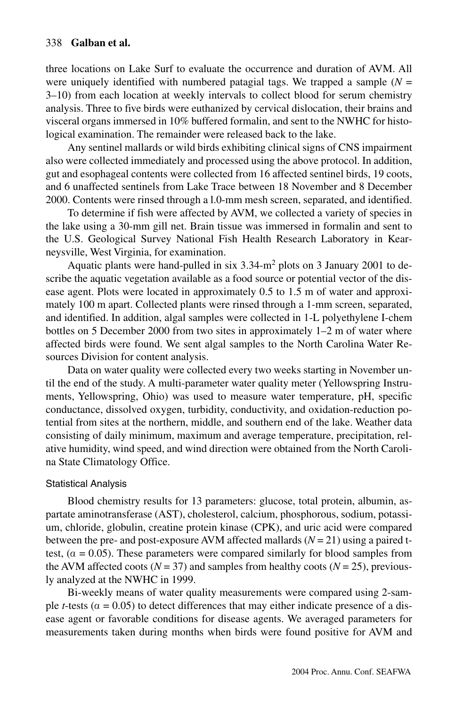three locations on Lake Surf to evaluate the occurrence and duration of AVM. All were uniquely identified with numbered patagial tags. We trapped a sample  $(N =$ 3–10) from each location at weekly intervals to collect blood for serum chemistry analysis. Three to five birds were euthanized by cervical dislocation, their brains and visceral organs immersed in 10% buffered formalin, and sent to the NWHC for histological examination. The remainder were released back to the lake.

Any sentinel mallards or wild birds exhibiting clinical signs of CNS impairment also were collected immediately and processed using the above protocol. In addition, gut and esophageal contents were collected from 16 affected sentinel birds, 19 coots, and 6 unaffected sentinels from Lake Trace between 18 November and 8 December 2000. Contents were rinsed through a l.0-mm mesh screen, separated, and identified.

To determine if fish were affected by AVM, we collected a variety of species in the lake using a 30-mm gill net. Brain tissue was immersed in formalin and sent to the U.S. Geological Survey National Fish Health Research Laboratory in Kearneysville, West Virginia, for examination.

Aquatic plants were hand-pulled in six  $3.34 \text{--} m^2$  plots on 3 January 2001 to describe the aquatic vegetation available as a food source or potential vector of the disease agent. Plots were located in approximately 0.5 to 1.5 m of water and approximately 100 m apart. Collected plants were rinsed through a 1-mm screen, separated, and identified. In addition, algal samples were collected in 1-L polyethylene I-chem bottles on 5 December 2000 from two sites in approximately 1–2 m of water where affected birds were found. We sent algal samples to the North Carolina Water Resources Division for content analysis.

Data on water quality were collected every two weeks starting in November until the end of the study. A multi-parameter water quality meter (Yellowspring Instruments, Yellowspring, Ohio) was used to measure water temperature, pH, specific conductance, dissolved oxygen, turbidity, conductivity, and oxidation-reduction potential from sites at the northern, middle, and southern end of the lake. Weather data consisting of daily minimum, maximum and average temperature, precipitation, relative humidity, wind speed, and wind direction were obtained from the North Carolina State Climatology Office.

#### Statistical Analysis

Blood chemistry results for 13 parameters: glucose, total protein, albumin, aspartate aminotransferase (AST), cholesterol, calcium, phosphorous, sodium, potassium, chloride, globulin, creatine protein kinase (CPK), and uric acid were compared between the pre- and post-exposure AVM affected mallards  $(N = 21)$  using a paired ttest,  $(\alpha = 0.05)$ . These parameters were compared similarly for blood samples from the AVM affected coots ( $N = 37$ ) and samples from healthy coots ( $N = 25$ ), previously analyzed at the NWHC in 1999.

Bi-weekly means of water quality measurements were compared using 2-sample *t*-tests ( $\alpha$  = 0.05) to detect differences that may either indicate presence of a disease agent or favorable conditions for disease agents. We averaged parameters for measurements taken during months when birds were found positive for AVM and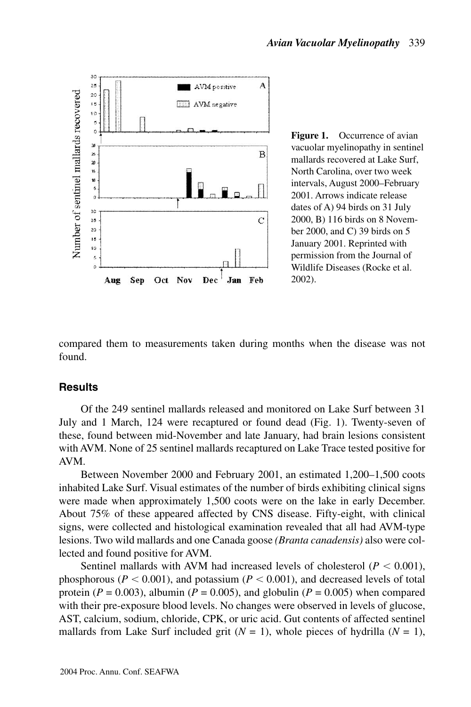

**Figure 1.** Occurrence of avian vacuolar myelinopathy in sentinel mallards recovered at Lake Surf, North Carolina, over two week intervals, August 2000–February 2001. Arrows indicate release dates of A) 94 birds on 31 July 2000, B) 116 birds on 8 November 2000, and C) 39 birds on 5 January 2001. Reprinted with permission from the Journal of Wildlife Diseases (Rocke et al. 2002).

compared them to measurements taken during months when the disease was not found.

### **Results**

Of the 249 sentinel mallards released and monitored on Lake Surf between 31 July and 1 March, 124 were recaptured or found dead (Fig. 1). Twenty-seven of these, found between mid-November and late January, had brain lesions consistent with AVM. None of 25 sentinel mallards recaptured on Lake Trace tested positive for AVM.

Between November 2000 and February 2001, an estimated 1,200–1,500 coots inhabited Lake Surf. Visual estimates of the number of birds exhibiting clinical signs were made when approximately 1,500 coots were on the lake in early December. About 75% of these appeared affected by CNS disease. Fifty-eight, with clinical signs, were collected and histological examination revealed that all had AVM-type lesions. Two wild mallards and one Canada goose *(Branta canadensis)* also were collected and found positive for AVM.

Sentinel mallards with AVM had increased levels of cholesterol ( $P < 0.001$ ), phosphorous ( $P < 0.001$ ), and potassium ( $P < 0.001$ ), and decreased levels of total protein ( $P = 0.003$ ), albumin ( $P = 0.005$ ), and globulin ( $P = 0.005$ ) when compared with their pre-exposure blood levels. No changes were observed in levels of glucose, AST, calcium, sodium, chloride, CPK, or uric acid. Gut contents of affected sentinel mallards from Lake Surf included grit  $(N = 1)$ , whole pieces of hydrilla  $(N = 1)$ ,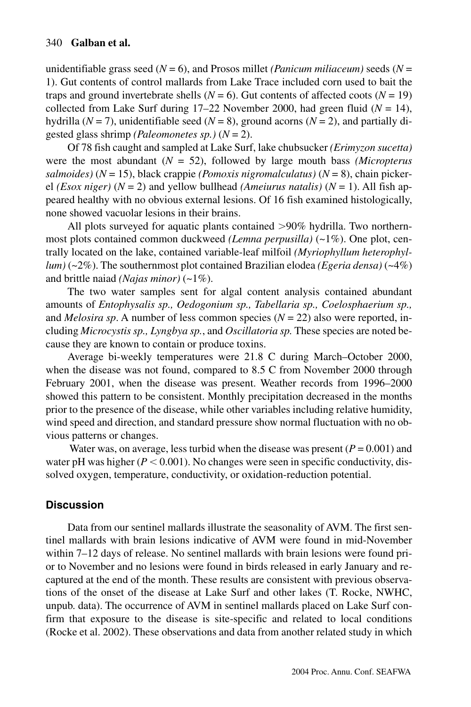unidentifiable grass seed  $(N = 6)$ , and Prosos millet *(Panicum miliaceum)* seeds  $(N =$ 1). Gut contents of control mallards from Lake Trace included corn used to bait the traps and ground invertebrate shells  $(N = 6)$ . Gut contents of affected coots  $(N = 19)$ collected from Lake Surf during  $17-22$  November 2000, had green fluid ( $N = 14$ ), hydrilla ( $N = 7$ ), unidentifiable seed ( $N = 8$ ), ground acorns ( $N = 2$ ), and partially digested glass shrimp *(Paleomonetes sp.)* (*N* = 2).

Of 78 fish caught and sampled at Lake Surf, lake chubsucker *(Erimyzon sucetta)* were the most abundant (*N* = 52), followed by large mouth bass *(Micropterus salmoides)* (*N* = 15), black crappie *(Pomoxis nigromalculatus)* (*N* = 8), chain pickerel *(Esox niger)* ( $N = 2$ ) and yellow bullhead *(Ameiurus natalis)* ( $N = 1$ ). All fish appeared healthy with no obvious external lesions. Of 16 fish examined histologically, none showed vacuolar lesions in their brains.

All plots surveyed for aquatic plants contained  $>90\%$  hydrilla. Two northernmost plots contained common duckweed *(Lemna perpusilla)* (~1%). One plot, centrally located on the lake, contained variable-leaf milfoil *(Myriophyllum heterophyllum)* (~2%). The southernmost plot contained Brazilian elodea *(Egeria densa)* (~4%) and brittle naiad *(Najas minor)* (~1%).

The two water samples sent for algal content analysis contained abundant amounts of *Entophysalis sp., Oedogonium sp., Tabellaria sp., Coelosphaerium sp.,* and *Melosira sp*. A number of less common species (*N* = 22) also were reported, including *Microcystis sp., Lyngbya sp.*, and *Oscillatoria sp.* These species are noted because they are known to contain or produce toxins.

Average bi-weekly temperatures were 21.8 C during March–October 2000, when the disease was not found, compared to 8.5 C from November 2000 through February 2001, when the disease was present. Weather records from 1996–2000 showed this pattern to be consistent. Monthly precipitation decreased in the months prior to the presence of the disease, while other variables including relative humidity, wind speed and direction, and standard pressure show normal fluctuation with no obvious patterns or changes.

Water was, on average, less turbid when the disease was present  $(P = 0.001)$  and water pH was higher  $(P < 0.001)$ . No changes were seen in specific conductivity, dissolved oxygen, temperature, conductivity, or oxidation-reduction potential.

## **Discussion**

Data from our sentinel mallards illustrate the seasonality of AVM. The first sentinel mallards with brain lesions indicative of AVM were found in mid-November within 7–12 days of release. No sentinel mallards with brain lesions were found prior to November and no lesions were found in birds released in early January and recaptured at the end of the month. These results are consistent with previous observations of the onset of the disease at Lake Surf and other lakes (T. Rocke, NWHC, unpub. data). The occurrence of AVM in sentinel mallards placed on Lake Surf confirm that exposure to the disease is site-specific and related to local conditions (Rocke et al. 2002). These observations and data from another related study in which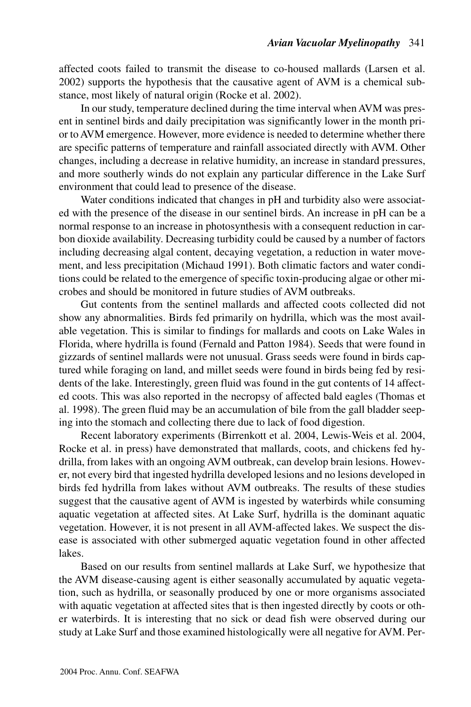affected coots failed to transmit the disease to co-housed mallards (Larsen et al. 2002) supports the hypothesis that the causative agent of AVM is a chemical substance, most likely of natural origin (Rocke et al. 2002).

In our study, temperature declined during the time interval when AVM was present in sentinel birds and daily precipitation was significantly lower in the month prior to AVM emergence. However, more evidence is needed to determine whether there are specific patterns of temperature and rainfall associated directly with AVM. Other changes, including a decrease in relative humidity, an increase in standard pressures, and more southerly winds do not explain any particular difference in the Lake Surf environment that could lead to presence of the disease.

Water conditions indicated that changes in pH and turbidity also were associated with the presence of the disease in our sentinel birds. An increase in pH can be a normal response to an increase in photosynthesis with a consequent reduction in carbon dioxide availability. Decreasing turbidity could be caused by a number of factors including decreasing algal content, decaying vegetation, a reduction in water movement, and less precipitation (Michaud 1991). Both climatic factors and water conditions could be related to the emergence of specific toxin-producing algae or other microbes and should be monitored in future studies of AVM outbreaks.

Gut contents from the sentinel mallards and affected coots collected did not show any abnormalities. Birds fed primarily on hydrilla, which was the most available vegetation. This is similar to findings for mallards and coots on Lake Wales in Florida, where hydrilla is found (Fernald and Patton 1984). Seeds that were found in gizzards of sentinel mallards were not unusual. Grass seeds were found in birds captured while foraging on land, and millet seeds were found in birds being fed by residents of the lake. Interestingly, green fluid was found in the gut contents of 14 affected coots. This was also reported in the necropsy of affected bald eagles (Thomas et al. 1998). The green fluid may be an accumulation of bile from the gall bladder seeping into the stomach and collecting there due to lack of food digestion.

Recent laboratory experiments (Birrenkott et al. 2004, Lewis-Weis et al. 2004, Rocke et al. in press) have demonstrated that mallards, coots, and chickens fed hydrilla, from lakes with an ongoing AVM outbreak, can develop brain lesions. However, not every bird that ingested hydrilla developed lesions and no lesions developed in birds fed hydrilla from lakes without AVM outbreaks. The results of these studies suggest that the causative agent of AVM is ingested by waterbirds while consuming aquatic vegetation at affected sites. At Lake Surf, hydrilla is the dominant aquatic vegetation. However, it is not present in all AVM-affected lakes. We suspect the disease is associated with other submerged aquatic vegetation found in other affected lakes.

Based on our results from sentinel mallards at Lake Surf, we hypothesize that the AVM disease-causing agent is either seasonally accumulated by aquatic vegetation, such as hydrilla, or seasonally produced by one or more organisms associated with aquatic vegetation at affected sites that is then ingested directly by coots or other waterbirds. It is interesting that no sick or dead fish were observed during our study at Lake Surf and those examined histologically were all negative for AVM. Per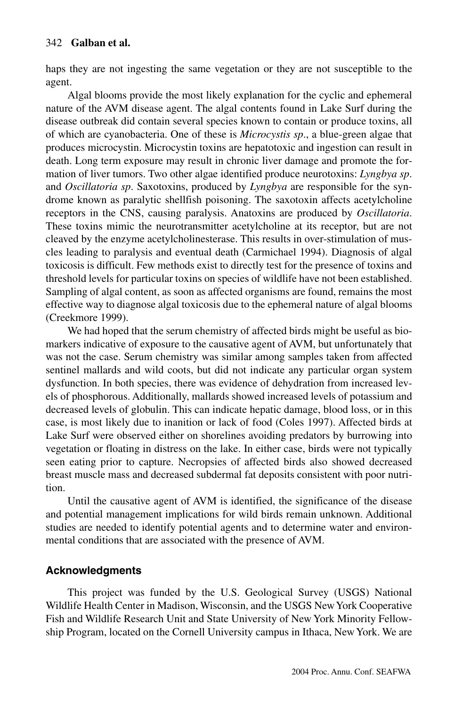haps they are not ingesting the same vegetation or they are not susceptible to the agent.

Algal blooms provide the most likely explanation for the cyclic and ephemeral nature of the AVM disease agent. The algal contents found in Lake Surf during the disease outbreak did contain several species known to contain or produce toxins, all of which are cyanobacteria. One of these is *Microcystis sp*., a blue-green algae that produces microcystin. Microcystin toxins are hepatotoxic and ingestion can result in death. Long term exposure may result in chronic liver damage and promote the formation of liver tumors. Two other algae identified produce neurotoxins: *Lyngbya sp*. and *Oscillatoria sp*. Saxotoxins, produced by *Lyngbya* are responsible for the syndrome known as paralytic shellfish poisoning. The saxotoxin affects acetylcholine receptors in the CNS, causing paralysis. Anatoxins are produced by *Oscillatoria*. These toxins mimic the neurotransmitter acetylcholine at its receptor, but are not cleaved by the enzyme acetylcholinesterase. This results in over-stimulation of muscles leading to paralysis and eventual death (Carmichael 1994). Diagnosis of algal toxicosis is difficult. Few methods exist to directly test for the presence of toxins and threshold levels for particular toxins on species of wildlife have not been established. Sampling of algal content, as soon as affected organisms are found, remains the most effective way to diagnose algal toxicosis due to the ephemeral nature of algal blooms (Creekmore 1999).

We had hoped that the serum chemistry of affected birds might be useful as biomarkers indicative of exposure to the causative agent of AVM, but unfortunately that was not the case. Serum chemistry was similar among samples taken from affected sentinel mallards and wild coots, but did not indicate any particular organ system dysfunction. In both species, there was evidence of dehydration from increased levels of phosphorous. Additionally, mallards showed increased levels of potassium and decreased levels of globulin. This can indicate hepatic damage, blood loss, or in this case, is most likely due to inanition or lack of food (Coles 1997). Affected birds at Lake Surf were observed either on shorelines avoiding predators by burrowing into vegetation or floating in distress on the lake. In either case, birds were not typically seen eating prior to capture. Necropsies of affected birds also showed decreased breast muscle mass and decreased subdermal fat deposits consistent with poor nutrition.

Until the causative agent of AVM is identified, the significance of the disease and potential management implications for wild birds remain unknown. Additional studies are needed to identify potential agents and to determine water and environmental conditions that are associated with the presence of AVM.

## **Acknowledgments**

This project was funded by the U.S. Geological Survey (USGS) National Wildlife Health Center in Madison, Wisconsin, and the USGS New York Cooperative Fish and Wildlife Research Unit and State University of New York Minority Fellowship Program, located on the Cornell University campus in Ithaca, New York. We are